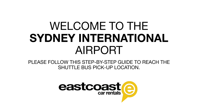# WELCOME TO THE SYDNEY INTERNATIONAL AIRPORT

PLEASE FOLLOW THIS STEP-BY-STEP GUIDE TO REACH THE SHUTTLE BUS PICK-UP LOCATION.

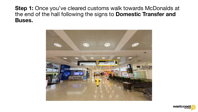Step 1: Once you've cleared customs walk towards McDonalds at the end of the hall following the signs to Domestic Transfer and Buses.



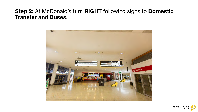# Step 2: At McDonald's turn RIGHT following signs to Domestic Transfer and Buses.



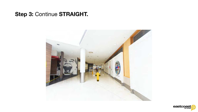# Step 3: Continue STRAIGHT.



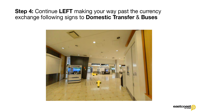# Step 4: Continue LEFT making your way past the currency exchange following signs to Domestic Transfer & Buses



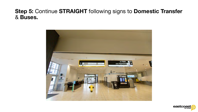### Step 5: Continue STRAIGHT following signs to Domestic Transfer & Buses.



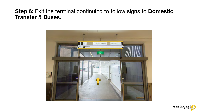# Step 6: Exit the terminal continuing to follow signs to Domestic Transfer & Buses.



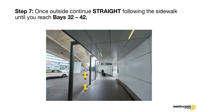## Step 7: Once outside continue STRAIGHT following the sidewalk until you reach Bays 32 – 42.



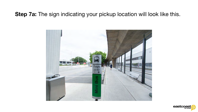# Step 7a: The sign indicating your pickup location will look like this.



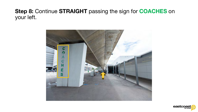# Step 8: Continue STRAIGHT passing the sign for COACHES on your left.



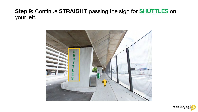# Step 9: Continue STRAIGHT passing the sign for SHUTTLES on your left.



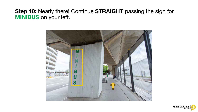## Step 10: Nearly there! Continue STRAIGHT passing the sign for MINIBUS on your left.



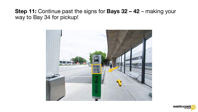# Step 11: Continue past the signs for Bays 32 - 42 - making your way to Bay 34 for pickup!



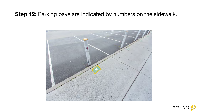# Step 12: Parking bays are indicated by numbers on the sidewalk.